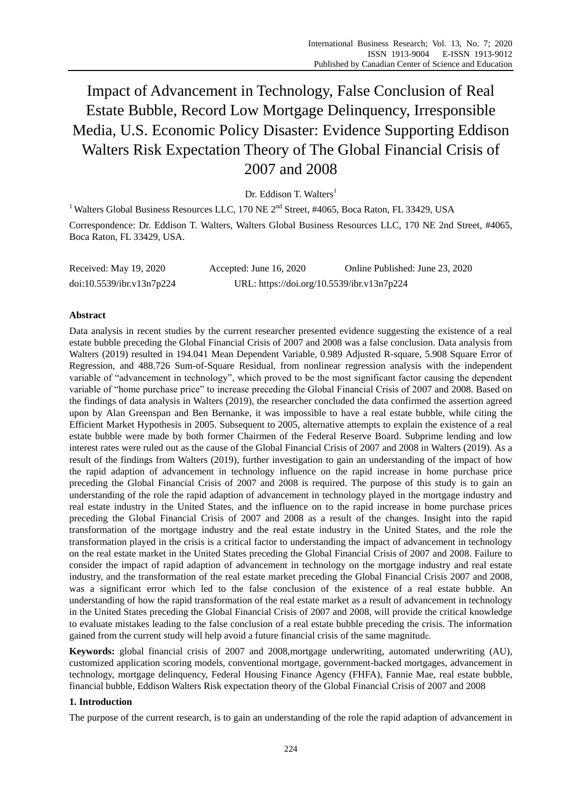Impact of Advancement in Technology, False Conclusion of Real Estate Bubble, Record Low Mortgage Delinquency, Irresponsible Media, U.S. Economic Policy Disaster: Evidence Supporting Eddison Walters Risk Expectation Theory of The Global Financial Crisis of 2007 and 2008

Dr. Eddison T. Walters<sup>1</sup>

<sup>1</sup> Walters Global Business Resources LLC, 170 NE  $2<sup>nd</sup>$  Street, #4065, Boca Raton, FL 33429, USA Correspondence: Dr. Eddison T. Walters, Walters Global Business Resources LLC, 170 NE 2nd Street, #4065,

Boca Raton, FL 33429, USA.

Received: May 19, 2020 Accepted: June 16, 2020 Online Published: June 23, 2020 doi:10.5539/ibr.v13n7p224 URL: https://doi.org/10.5539/ibr.v13n7p224

# **Abstract**

Data analysis in recent studies by the current researcher presented evidence suggesting the existence of a real estate bubble preceding the Global Financial Crisis of 2007 and 2008 was a false conclusion. Data analysis from Walters (2019) resulted in 194.041 Mean Dependent Variable, 0.989 Adjusted R-square, 5.908 Square Error of Regression, and 488.726 Sum-of-Square Residual, from nonlinear regression analysis with the independent variable of "advancement in technology", which proved to be the most significant factor causing the dependent variable of "home purchase price" to increase preceding the Global Financial Crisis of 2007 and 2008. Based on the findings of data analysis in Walters (2019), the researcher concluded the data confirmed the assertion agreed upon by Alan Greenspan and Ben Bernanke, it was impossible to have a real estate bubble, while citing the Efficient Market Hypothesis in 2005. Subsequent to 2005, alternative attempts to explain the existence of a real estate bubble were made by both former Chairmen of the Federal Reserve Board. Subprime lending and low interest rates were ruled out as the cause of the Global Financial Crisis of 2007 and 2008 in Walters (2019). As a result of the findings from Walters (2019), further investigation to gain an understanding of the impact of how the rapid adaption of advancement in technology influence on the rapid increase in home purchase price preceding the Global Financial Crisis of 2007 and 2008 is required. The purpose of this study is to gain an understanding of the role the rapid adaption of advancement in technology played in the mortgage industry and real estate industry in the United States, and the influence on to the rapid increase in home purchase prices preceding the Global Financial Crisis of 2007 and 2008 as a result of the changes. Insight into the rapid transformation of the mortgage industry and the real estate industry in the United States, and the role the transformation played in the crisis is a critical factor to understanding the impact of advancement in technology on the real estate market in the United States preceding the Global Financial Crisis of 2007 and 2008. Failure to consider the impact of rapid adaption of advancement in technology on the mortgage industry and real estate industry, and the transformation of the real estate market preceding the Global Financial Crisis 2007 and 2008, was a significant error which led to the false conclusion of the existence of a real estate bubble. An understanding of how the rapid transformation of the real estate market as a result of advancement in technology in the United States preceding the Global Financial Crisis of 2007 and 2008, will provide the critical knowledge to evaluate mistakes leading to the false conclusion of a real estate bubble preceding the crisis. The information gained from the current study will help avoid a future financial crisis of the same magnitude.

**Keywords:** global financial crisis of 2007 and 2008,mortgage underwriting, automated underwriting (AU), customized application scoring models, conventional mortgage, government-backed mortgages, advancement in technology, mortgage delinquency, Federal Housing Finance Agency (FHFA), Fannie Mae, real estate bubble, financial bubble, Eddison Walters Risk expectation theory of the Global Financial Crisis of 2007 and 2008

# **1. Introduction**

The purpose of the current research, is to gain an understanding of the role the rapid adaption of advancement in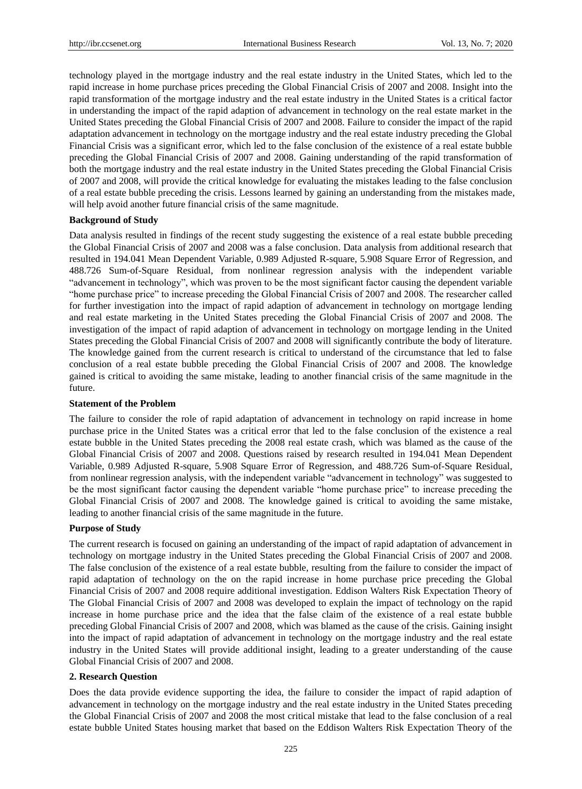technology played in the mortgage industry and the real estate industry in the United States, which led to the rapid increase in home purchase prices preceding the Global Financial Crisis of 2007 and 2008. Insight into the rapid transformation of the mortgage industry and the real estate industry in the United States is a critical factor in understanding the impact of the rapid adaption of advancement in technology on the real estate market in the United States preceding the Global Financial Crisis of 2007 and 2008. Failure to consider the impact of the rapid adaptation advancement in technology on the mortgage industry and the real estate industry preceding the Global Financial Crisis was a significant error, which led to the false conclusion of the existence of a real estate bubble preceding the Global Financial Crisis of 2007 and 2008. Gaining understanding of the rapid transformation of both the mortgage industry and the real estate industry in the United States preceding the Global Financial Crisis of 2007 and 2008, will provide the critical knowledge for evaluating the mistakes leading to the false conclusion of a real estate bubble preceding the crisis. Lessons learned by gaining an understanding from the mistakes made, will help avoid another future financial crisis of the same magnitude.

# **Background of Study**

Data analysis resulted in findings of the recent study suggesting the existence of a real estate bubble preceding the Global Financial Crisis of 2007 and 2008 was a false conclusion. Data analysis from additional research that resulted in 194.041 Mean Dependent Variable, 0.989 Adjusted R-square, 5.908 Square Error of Regression, and 488.726 Sum-of-Square Residual, from nonlinear regression analysis with the independent variable "advancement in technology", which was proven to be the most significant factor causing the dependent variable "home purchase price" to increase preceding the Global Financial Crisis of 2007 and 2008. The researcher called for further investigation into the impact of rapid adaption of advancement in technology on mortgage lending and real estate marketing in the United States preceding the Global Financial Crisis of 2007 and 2008. The investigation of the impact of rapid adaption of advancement in technology on mortgage lending in the United States preceding the Global Financial Crisis of 2007 and 2008 will significantly contribute the body of literature. The knowledge gained from the current research is critical to understand of the circumstance that led to false conclusion of a real estate bubble preceding the Global Financial Crisis of 2007 and 2008. The knowledge gained is critical to avoiding the same mistake, leading to another financial crisis of the same magnitude in the future.

### **Statement of the Problem**

The failure to consider the role of rapid adaptation of advancement in technology on rapid increase in home purchase price in the United States was a critical error that led to the false conclusion of the existence a real estate bubble in the United States preceding the 2008 real estate crash, which was blamed as the cause of the Global Financial Crisis of 2007 and 2008. Questions raised by research resulted in 194.041 Mean Dependent Variable, 0.989 Adjusted R-square, 5.908 Square Error of Regression, and 488.726 Sum-of-Square Residual, from nonlinear regression analysis, with the independent variable "advancement in technology" was suggested to be the most significant factor causing the dependent variable "home purchase price" to increase preceding the Global Financial Crisis of 2007 and 2008. The knowledge gained is critical to avoiding the same mistake, leading to another financial crisis of the same magnitude in the future.

### **Purpose of Study**

The current research is focused on gaining an understanding of the impact of rapid adaptation of advancement in technology on mortgage industry in the United States preceding the Global Financial Crisis of 2007 and 2008. The false conclusion of the existence of a real estate bubble, resulting from the failure to consider the impact of rapid adaptation of technology on the on the rapid increase in home purchase price preceding the Global Financial Crisis of 2007 and 2008 require additional investigation. Eddison Walters Risk Expectation Theory of The Global Financial Crisis of 2007 and 2008 was developed to explain the impact of technology on the rapid increase in home purchase price and the idea that the false claim of the existence of a real estate bubble preceding Global Financial Crisis of 2007 and 2008, which was blamed as the cause of the crisis. Gaining insight into the impact of rapid adaptation of advancement in technology on the mortgage industry and the real estate industry in the United States will provide additional insight, leading to a greater understanding of the cause Global Financial Crisis of 2007 and 2008.

# **2. Research Question**

Does the data provide evidence supporting the idea, the failure to consider the impact of rapid adaption of advancement in technology on the mortgage industry and the real estate industry in the United States preceding the Global Financial Crisis of 2007 and 2008 the most critical mistake that lead to the false conclusion of a real estate bubble United States housing market that based on the Eddison Walters Risk Expectation Theory of the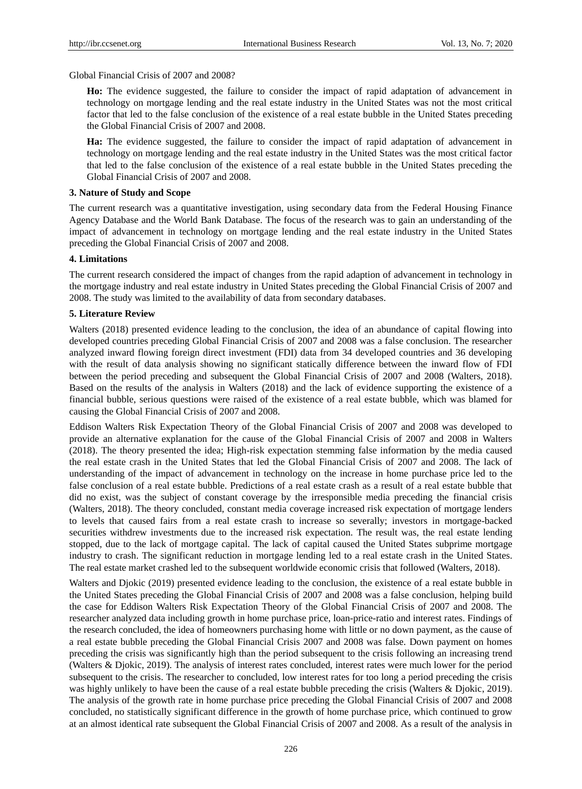Global Financial Crisis of 2007 and 2008?

**Ho:** The evidence suggested, the failure to consider the impact of rapid adaptation of advancement in technology on mortgage lending and the real estate industry in the United States was not the most critical factor that led to the false conclusion of the existence of a real estate bubble in the United States preceding the Global Financial Crisis of 2007 and 2008.

**Ha:** The evidence suggested, the failure to consider the impact of rapid adaptation of advancement in technology on mortgage lending and the real estate industry in the United States was the most critical factor that led to the false conclusion of the existence of a real estate bubble in the United States preceding the Global Financial Crisis of 2007 and 2008.

### **3. Nature of Study and Scope**

The current research was a quantitative investigation, using secondary data from the Federal Housing Finance Agency Database and the World Bank Database. The focus of the research was to gain an understanding of the impact of advancement in technology on mortgage lending and the real estate industry in the United States preceding the Global Financial Crisis of 2007 and 2008.

# **4. Limitations**

The current research considered the impact of changes from the rapid adaption of advancement in technology in the mortgage industry and real estate industry in United States preceding the Global Financial Crisis of 2007 and 2008. The study was limited to the availability of data from secondary databases.

### **5. Literature Review**

Walters (2018) presented evidence leading to the conclusion, the idea of an abundance of capital flowing into developed countries preceding Global Financial Crisis of 2007 and 2008 was a false conclusion. The researcher analyzed inward flowing foreign direct investment (FDI) data from 34 developed countries and 36 developing with the result of data analysis showing no significant statically difference between the inward flow of FDI between the period preceding and subsequent the Global Financial Crisis of 2007 and 2008 (Walters, 2018). Based on the results of the analysis in Walters (2018) and the lack of evidence supporting the existence of a financial bubble, serious questions were raised of the existence of a real estate bubble, which was blamed for causing the Global Financial Crisis of 2007 and 2008.

Eddison Walters Risk Expectation Theory of the Global Financial Crisis of 2007 and 2008 was developed to provide an alternative explanation for the cause of the Global Financial Crisis of 2007 and 2008 in Walters (2018). The theory presented the idea; High-risk expectation stemming false information by the media caused the real estate crash in the United States that led the Global Financial Crisis of 2007 and 2008. The lack of understanding of the impact of advancement in technology on the increase in home purchase price led to the false conclusion of a real estate bubble. Predictions of a real estate crash as a result of a real estate bubble that did no exist, was the subject of constant coverage by the irresponsible media preceding the financial crisis (Walters, 2018). The theory concluded, constant media coverage increased risk expectation of mortgage lenders to levels that caused fairs from a real estate crash to increase so severally; investors in mortgage-backed securities withdrew investments due to the increased risk expectation. The result was, the real estate lending stopped, due to the lack of mortgage capital. The lack of capital caused the United States subprime mortgage industry to crash. The significant reduction in mortgage lending led to a real estate crash in the United States. The real estate market crashed led to the subsequent worldwide economic crisis that followed (Walters, 2018).

Walters and Djokic (2019) presented evidence leading to the conclusion, the existence of a real estate bubble in the United States preceding the Global Financial Crisis of 2007 and 2008 was a false conclusion, helping build the case for Eddison Walters Risk Expectation Theory of the Global Financial Crisis of 2007 and 2008. The researcher analyzed data including growth in home purchase price, loan-price-ratio and interest rates. Findings of the research concluded, the idea of homeowners purchasing home with little or no down payment, as the cause of a real estate bubble preceding the Global Financial Crisis 2007 and 2008 was false. Down payment on homes preceding the crisis was significantly high than the period subsequent to the crisis following an increasing trend (Walters & Djokic, 2019). The analysis of interest rates concluded, interest rates were much lower for the period subsequent to the crisis. The researcher to concluded, low interest rates for too long a period preceding the crisis was highly unlikely to have been the cause of a real estate bubble preceding the crisis (Walters & Djokic, 2019). The analysis of the growth rate in home purchase price preceding the Global Financial Crisis of 2007 and 2008 concluded, no statistically significant difference in the growth of home purchase price, which continued to grow at an almost identical rate subsequent the Global Financial Crisis of 2007 and 2008. As a result of the analysis in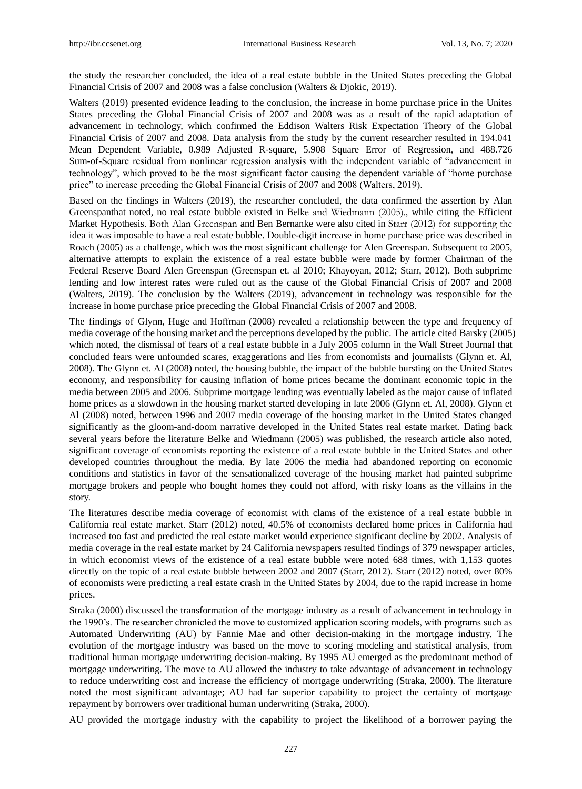the study the researcher concluded, the idea of a real estate bubble in the United States preceding the Global Financial Crisis of 2007 and 2008 was a false conclusion (Walters & Djokic, 2019).

Walters (2019) presented evidence leading to the conclusion, the increase in home purchase price in the Unites States preceding the Global Financial Crisis of 2007 and 2008 was as a result of the rapid adaptation of advancement in technology, which confirmed the Eddison Walters Risk Expectation Theory of the Global Financial Crisis of 2007 and 2008. Data analysis from the study by the current researcher resulted in 194.041 Mean Dependent Variable, 0.989 Adjusted R-square, 5.908 Square Error of Regression, and 488.726 Sum-of-Square residual from nonlinear regression analysis with the independent variable of "advancement in technology", which proved to be the most significant factor causing the dependent variable of "home purchase price" to increase preceding the Global Financial Crisis of 2007 and 2008 (Walters, 2019).

Based on the findings in Walters (2019), the researcher concluded, the data confirmed the assertion by Alan Greenspanthat noted, no real estate bubble existed in Belke and Wiedmann (2005)., while citing the Efficient Market Hypothesis. Both Alan Greenspan and Ben Bernanke were also cited in Starr (2012) for supporting the idea it was imposable to have a real estate bubble. Double-digit increase in home purchase price was described in Roach (2005) as a challenge, which was the most significant challenge for Alen Greenspan. Subsequent to 2005, alternative attempts to explain the existence of a real estate bubble were made by former Chairman of the Federal Reserve Board Alen Greenspan (Greenspan et. al 2010; Khayoyan, 2012; Starr, 2012). Both subprime lending and low interest rates were ruled out as the cause of the Global Financial Crisis of 2007 and 2008 (Walters, 2019). The conclusion by the Walters (2019), advancement in technology was responsible for the increase in home purchase price preceding the Global Financial Crisis of 2007 and 2008.

The findings of Glynn, Huge and Hoffman (2008) revealed a relationship between the type and frequency of media coverage of the housing market and the perceptions developed by the public. The article cited Barsky (2005) which noted, the dismissal of fears of a real estate bubble in a July 2005 column in the Wall Street Journal that concluded fears were unfounded scares, exaggerations and lies from economists and journalists (Glynn et. Al, 2008). The Glynn et. Al (2008) noted, the housing bubble, the impact of the bubble bursting on the United States economy, and responsibility for causing inflation of home prices became the dominant economic topic in the media between 2005 and 2006. Subprime mortgage lending was eventually labeled as the major cause of inflated home prices as a slowdown in the housing market started developing in late 2006 (Glynn et. Al, 2008). Glynn et Al (2008) noted, between 1996 and 2007 media coverage of the housing market in the United States changed significantly as the gloom-and-doom narrative developed in the United States real estate market. Dating back several years before the literature Belke and Wiedmann (2005) was published, the research article also noted, significant coverage of economists reporting the existence of a real estate bubble in the United States and other developed countries throughout the media. By late 2006 the media had abandoned reporting on economic conditions and statistics in favor of the sensationalized coverage of the housing market had painted subprime mortgage brokers and people who bought homes they could not afford, with risky loans as the villains in the story.

The literatures describe media coverage of economist with clams of the existence of a real estate bubble in California real estate market. Starr (2012) noted, 40.5% of economists declared home prices in California had increased too fast and predicted the real estate market would experience significant decline by 2002. Analysis of media coverage in the real estate market by 24 California newspapers resulted findings of 379 newspaper articles, in which economist views of the existence of a real estate bubble were noted 688 times, with 1,153 quotes directly on the topic of a real estate bubble between 2002 and 2007 (Starr, 2012). Starr (2012) noted, over 80% of economists were predicting a real estate crash in the United States by 2004, due to the rapid increase in home prices.

Straka (2000) discussed the transformation of the mortgage industry as a result of advancement in technology in the 1990's. The researcher chronicled the move to customized application scoring models, with programs such as Automated Underwriting (AU) by Fannie Mae and other decision-making in the mortgage industry. The evolution of the mortgage industry was based on the move to scoring modeling and statistical analysis, from traditional human mortgage underwriting decision-making. By 1995 AU emerged as the predominant method of mortgage underwriting. The move to AU allowed the industry to take advantage of advancement in technology to reduce underwriting cost and increase the efficiency of mortgage underwriting (Straka, 2000). The literature noted the most significant advantage; AU had far superior capability to project the certainty of mortgage repayment by borrowers over traditional human underwriting (Straka, 2000).

AU provided the mortgage industry with the capability to project the likelihood of a borrower paying the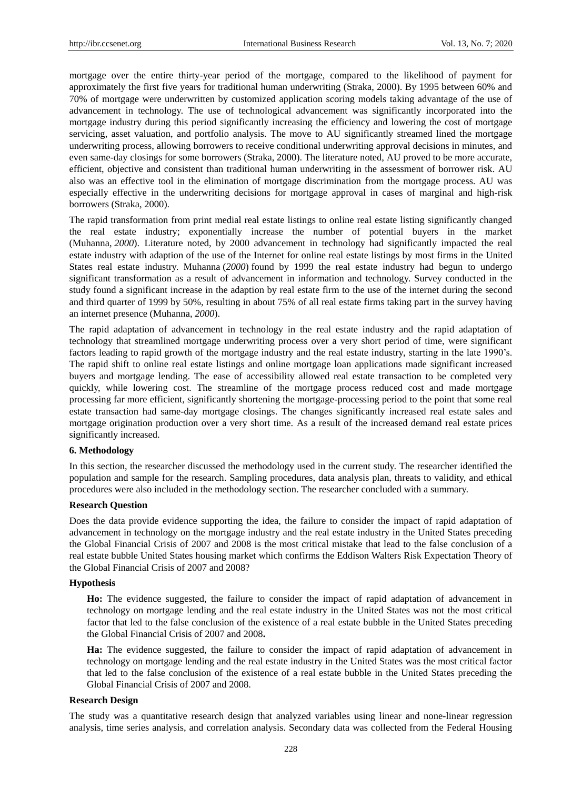mortgage over the entire thirty-year period of the mortgage, compared to the likelihood of payment for approximately the first five years for traditional human underwriting (Straka, 2000). By 1995 between 60% and 70% of mortgage were underwritten by customized application scoring models taking advantage of the use of advancement in technology. The use of technological advancement was significantly incorporated into the mortgage industry during this period significantly increasing the efficiency and lowering the cost of mortgage servicing, asset valuation, and portfolio analysis. The move to AU significantly streamed lined the mortgage underwriting process, allowing borrowers to receive conditional underwriting approval decisions in minutes, and even same-day closings for some borrowers (Straka, 2000). The literature noted, AU proved to be more accurate, efficient, objective and consistent than traditional human underwriting in the assessment of borrower risk. AU also was an effective tool in the elimination of mortgage discrimination from the mortgage process. AU was especially effective in the underwriting decisions for mortgage approval in cases of marginal and high-risk borrowers (Straka, 2000).

The rapid transformation from print medial real estate listings to online real estate listing significantly changed the real estate industry; exponentially increase the number of potential buyers in the market (Muhanna, *2000*). Literature noted, by 2000 advancement in technology had significantly impacted the real estate industry with adaption of the use of the Internet for online real estate listings by most firms in the United States real estate industry. Muhanna (*2000*) found by 1999 the real estate industry had begun to undergo significant transformation as a result of advancement in information and technology. Survey conducted in the study found a significant increase in the adaption by real estate firm to the use of the internet during the second and third quarter of 1999 by 50%, resulting in about 75% of all real estate firms taking part in the survey having an internet presence (Muhanna, *2000*).

The rapid adaptation of advancement in technology in the real estate industry and the rapid adaptation of technology that streamlined mortgage underwriting process over a very short period of time, were significant factors leading to rapid growth of the mortgage industry and the real estate industry, starting in the late 1990's. The rapid shift to online real estate listings and online mortgage loan applications made significant increased buyers and mortgage lending. The ease of accessibility allowed real estate transaction to be completed very quickly, while lowering cost. The streamline of the mortgage process reduced cost and made mortgage processing far more efficient, significantly shortening the mortgage-processing period to the point that some real estate transaction had same-day mortgage closings. The changes significantly increased real estate sales and mortgage origination production over a very short time. As a result of the increased demand real estate prices significantly increased.

# **6. Methodology**

In this section, the researcher discussed the methodology used in the current study. The researcher identified the population and sample for the research. Sampling procedures, data analysis plan, threats to validity, and ethical procedures were also included in the methodology section. The researcher concluded with a summary.

## **Research Question**

Does the data provide evidence supporting the idea, the failure to consider the impact of rapid adaptation of advancement in technology on the mortgage industry and the real estate industry in the United States preceding the Global Financial Crisis of 2007 and 2008 is the most critical mistake that lead to the false conclusion of a real estate bubble United States housing market which confirms the Eddison Walters Risk Expectation Theory of the Global Financial Crisis of 2007 and 2008?

### **Hypothesis**

**Ho:** The evidence suggested, the failure to consider the impact of rapid adaptation of advancement in technology on mortgage lending and the real estate industry in the United States was not the most critical factor that led to the false conclusion of the existence of a real estate bubble in the United States preceding the Global Financial Crisis of 2007 and 2008**.**

**Ha:** The evidence suggested, the failure to consider the impact of rapid adaptation of advancement in technology on mortgage lending and the real estate industry in the United States was the most critical factor that led to the false conclusion of the existence of a real estate bubble in the United States preceding the Global Financial Crisis of 2007 and 2008.

# **Research Design**

The study was a quantitative research design that analyzed variables using linear and none-linear regression analysis, time series analysis, and correlation analysis. Secondary data was collected from the Federal Housing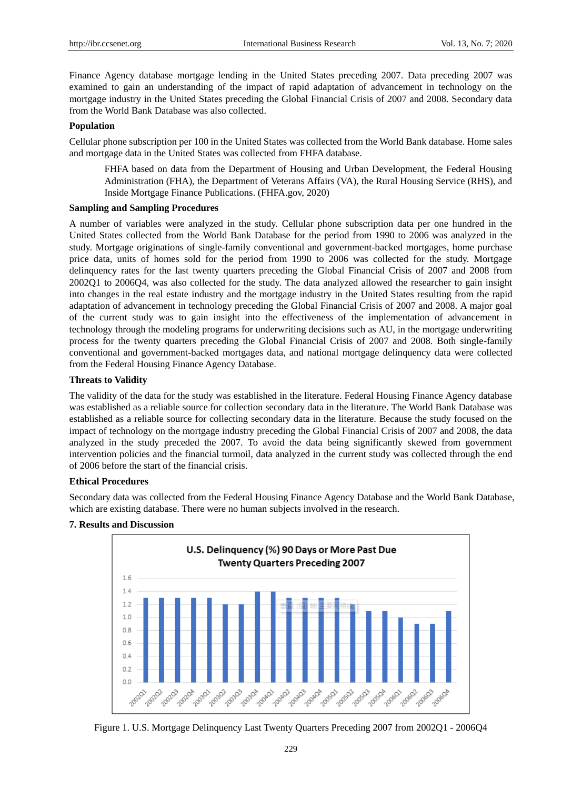Finance Agency database mortgage lending in the United States preceding 2007. Data preceding 2007 was examined to gain an understanding of the impact of rapid adaptation of advancement in technology on the mortgage industry in the United States preceding the Global Financial Crisis of 2007 and 2008. Secondary data from the World Bank Database was also collected.

## **Population**

Cellular phone subscription per 100 in the United States was collected from the World Bank database. Home sales and mortgage data in the United States was collected from FHFA database.

FHFA based on data from the Department of Housing and Urban Development, the Federal Housing Administration (FHA), the Department of Veterans Affairs (VA), the Rural Housing Service (RHS), and Inside Mortgage Finance Publications. (FHFA.gov, 2020)

## **Sampling and Sampling Procedures**

A number of variables were analyzed in the study. Cellular phone subscription data per one hundred in the United States collected from the World Bank Database for the period from 1990 to 2006 was analyzed in the study. Mortgage originations of single-family conventional and government-backed mortgages, home purchase price data, units of homes sold for the period from 1990 to 2006 was collected for the study. Mortgage delinquency rates for the last twenty quarters preceding the Global Financial Crisis of 2007 and 2008 from 2002Q1 to 2006Q4, was also collected for the study. The data analyzed allowed the researcher to gain insight into changes in the real estate industry and the mortgage industry in the United States resulting from the rapid adaptation of advancement in technology preceding the Global Financial Crisis of 2007 and 2008. A major goal of the current study was to gain insight into the effectiveness of the implementation of advancement in technology through the modeling programs for underwriting decisions such as AU, in the mortgage underwriting process for the twenty quarters preceding the Global Financial Crisis of 2007 and 2008. Both single-family conventional and government-backed mortgages data, and national mortgage delinquency data were collected from the Federal Housing Finance Agency Database.

## **Threats to Validity**

The validity of the data for the study was established in the literature. Federal Housing Finance Agency database was established as a reliable source for collection secondary data in the literature. The World Bank Database was established as a reliable source for collecting secondary data in the literature. Because the study focused on the impact of technology on the mortgage industry preceding the Global Financial Crisis of 2007 and 2008, the data analyzed in the study preceded the 2007. To avoid the data being significantly skewed from government intervention policies and the financial turmoil, data analyzed in the current study was collected through the end of 2006 before the start of the financial crisis.

# **Ethical Procedures**

Secondary data was collected from the Federal Housing Finance Agency Database and the World Bank Database, which are existing database. There were no human subjects involved in the research.



# **7. Results and Discussion**

Figure 1. U.S. Mortgage Delinquency Last Twenty Quarters Preceding 2007 from 2002Q1 - 2006Q4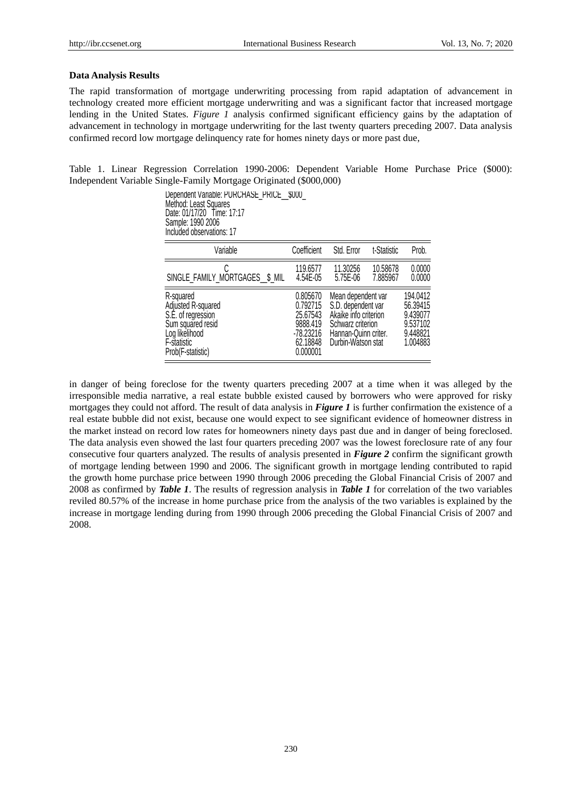#### **Data Analysis Results**

The rapid transformation of mortgage underwriting processing from rapid adaptation of advancement in technology created more efficient mortgage underwriting and was a significant factor that increased mortgage lending in the United States. *Figure 1* analysis confirmed significant efficiency gains by the adaptation of advancement in technology in mortgage underwriting for the last twenty quarters preceding 2007. Data analysis confirmed record low mortgage delinquency rate for homes ninety days or more past due,

Table 1. Linear Regression Correlation 1990-2006: Dependent Variable Home Purchase Price (\$000): Independent Variable Single-Family Mortgage Originated (\$000,000)

> Dependent Variable: PURCHASE\_PRICE\_\_\$000\_ Method: Least Squares Date: 01/17/20 Time: 17:17 Sample: 1990 2006 Included observations: 17

| Variable                                                                                                                         | Coefficient                                                                       | Std. Error                                                                                                                           | t-Statistic          | Prob.                                                                |
|----------------------------------------------------------------------------------------------------------------------------------|-----------------------------------------------------------------------------------|--------------------------------------------------------------------------------------------------------------------------------------|----------------------|----------------------------------------------------------------------|
| SINGLE_FAMILY_MORTGAGES \$ MIL                                                                                                   | 119.6577<br>4.54E-05                                                              | 11.30256<br>5.75E-06                                                                                                                 | 10.58678<br>7.885967 | 0.0000<br>0.0000                                                     |
| R-squared<br>Adjusted R-squared<br>S.E. of regression<br>Sum squared resid<br>Log likelihood<br>F-statistic<br>Prob(F-statistic) | 0.805670<br>0.792715<br>25.67543<br>9888.419<br>-78.23216<br>62.18848<br>0.000001 | Mean dependent var<br>S.D. dependent var<br>Akaike info criterion<br>Schwarz criterion<br>Hannan-Quinn criter.<br>Durbin-Watson stat |                      | 194.0412<br>56.39415<br>9.439077<br>9.537102<br>9.448821<br>1.004883 |

in danger of being foreclose for the twenty quarters preceding 2007 at a time when it was alleged by the irresponsible media narrative, a real estate bubble existed caused by borrowers who were approved for risky mortgages they could not afford. The result of data analysis in *Figure 1* is further confirmation the existence of a real estate bubble did not exist, because one would expect to see significant evidence of homeowner distress in the market instead on record low rates for homeowners ninety days past due and in danger of being foreclosed. The data analysis even showed the last four quarters preceding 2007 was the lowest foreclosure rate of any four consecutive four quarters analyzed. The results of analysis presented in *Figure 2* confirm the significant growth of mortgage lending between 1990 and 2006. The significant growth in mortgage lending contributed to rapid the growth home purchase price between 1990 through 2006 preceding the Global Financial Crisis of 2007 and 2008 as confirmed by *Table 1*. The results of regression analysis in *Table 1* for correlation of the two variables reviled 80.57% of the increase in home purchase price from the analysis of the two variables is explained by the increase in mortgage lending during from 1990 through 2006 preceding the Global Financial Crisis of 2007 and 2008.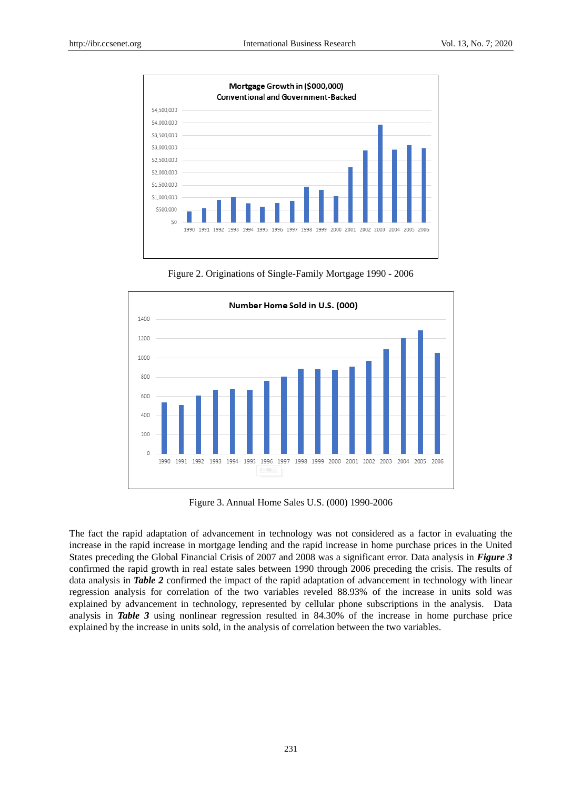

Figure 2. Originations of Single-Family Mortgage 1990 - 2006



Figure 3. Annual Home Sales U.S. (000) 1990-2006

The fact the rapid adaptation of advancement in technology was not considered as a factor in evaluating the increase in the rapid increase in mortgage lending and the rapid increase in home purchase prices in the United States preceding the Global Financial Crisis of 2007 and 2008 was a significant error. Data analysis in *Figure 3* confirmed the rapid growth in real estate sales between 1990 through 2006 preceding the crisis. The results of data analysis in **Table 2** confirmed the impact of the rapid adaptation of advancement in technology with linear regression analysis for correlation of the two variables reveled 88.93% of the increase in units sold was explained by advancement in technology, represented by cellular phone subscriptions in the analysis. Data analysis in *Table 3* using nonlinear regression resulted in 84.30% of the increase in home purchase price explained by the increase in units sold, in the analysis of correlation between the two variables.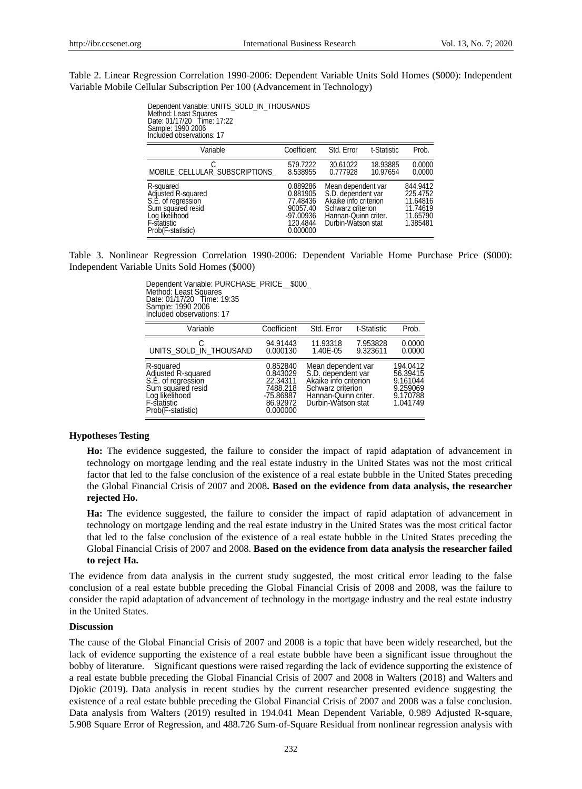Table 2. Linear Regression Correlation 1990-2006: Dependent Variable Units Sold Homes (\$000): Independent Variable Mobile Cellular Subscription Per 100 (Advancement in Technology)

> Method: Least Squares Date: 01/17/20 Time: 17:22 Sample: 1990 2006 Included observations: 17

| Variable                                                                                                                         | Coefficient                                                                         | Std. Error                                                                                                                           | t-Statistic          | Prob.                                                                |
|----------------------------------------------------------------------------------------------------------------------------------|-------------------------------------------------------------------------------------|--------------------------------------------------------------------------------------------------------------------------------------|----------------------|----------------------------------------------------------------------|
| MOBILE CELLULAR SUBSCRIPTIONS                                                                                                    | 579.7222<br>8.538955                                                                | 30.61022<br>0.777928                                                                                                                 | 18.93885<br>10.97654 | 0.0000<br>0.0000                                                     |
| R-squared<br>Adjusted R-squared<br>S.E. of regression<br>Sum squared resid<br>Log likelihood<br>F-statistic<br>Prob(F-statistic) | 0.889286<br>0.881905<br>77.48436<br>90057.40<br>$-97.00936$<br>120.4844<br>0.000000 | Mean dependent var<br>S.D. dependent var<br>Akaike info criterion<br>Schwarz criterion<br>Hannan-Quinn criter.<br>Durbin-Watson stat |                      | 844.9412<br>225.4752<br>11.64816<br>11.74619<br>11.65790<br>1.385481 |

Table 3. Nonlinear Regression Correlation 1990-2006: Dependent Variable Home Purchase Price (\$000): Independent Variable Units Sold Homes (\$000)

> Dependent Variable: PURCHASE\_PRICE\_\_ \$000 Method: Least Squares Date: 01/17/20 Time: 19:35 Sample: 1990 2006 Included observations: 17

| Variable                                                                                                                         | Coefficient                                                                       | Std. Error                                                                                                                           | t-Statistic          | Prob.                                                                |
|----------------------------------------------------------------------------------------------------------------------------------|-----------------------------------------------------------------------------------|--------------------------------------------------------------------------------------------------------------------------------------|----------------------|----------------------------------------------------------------------|
| UNITS SOLD IN THOUSAND                                                                                                           | 94.91443<br>0.000130                                                              | 11.93318<br>1.40E-05                                                                                                                 | 7.953828<br>9.323611 | 0.0000<br>0.0000                                                     |
| R-squared<br>Adjusted R-squared<br>S.E. of regression<br>Sum squared resid<br>Log likelihood<br>F-statistic<br>Prob(F-statistic) | 0.852840<br>0.843029<br>22.34311<br>7488.218<br>-75.86887<br>86.92972<br>0.000000 | Mean dependent var<br>S.D. dependent var<br>Akaike info criterion<br>Schwarz criterion<br>Hannan-Quinn criter.<br>Durbin-Watson stat |                      | 194.0412<br>56.39415<br>9.161044<br>9.259069<br>9.170788<br>1.041749 |

### **Hypotheses Testing**

**Ho:** The evidence suggested, the failure to consider the impact of rapid adaptation of advancement in technology on mortgage lending and the real estate industry in the United States was not the most critical factor that led to the false conclusion of the existence of a real estate bubble in the United States preceding the Global Financial Crisis of 2007 and 2008**. Based on the evidence from data analysis, the researcher rejected Ho.**

**Ha:** The evidence suggested, the failure to consider the impact of rapid adaptation of advancement in technology on mortgage lending and the real estate industry in the United States was the most critical factor that led to the false conclusion of the existence of a real estate bubble in the United States preceding the Global Financial Crisis of 2007 and 2008. **Based on the evidence from data analysis the researcher failed to reject Ha.**

The evidence from data analysis in the current study suggested, the most critical error leading to the false conclusion of a real estate bubble preceding the Global Financial Crisis of 2008 and 2008, was the failure to consider the rapid adaptation of advancement of technology in the mortgage industry and the real estate industry in the United States.

#### **Discussion**

The cause of the Global Financial Crisis of 2007 and 2008 is a topic that have been widely researched, but the lack of evidence supporting the existence of a real estate bubble have been a significant issue throughout the bobby of literature. Significant questions were raised regarding the lack of evidence supporting the existence of a real estate bubble preceding the Global Financial Crisis of 2007 and 2008 in Walters (2018) and Walters and Djokic (2019). Data analysis in recent studies by the current researcher presented evidence suggesting the existence of a real estate bubble preceding the Global Financial Crisis of 2007 and 2008 was a false conclusion. Data analysis from Walters (2019) resulted in 194.041 Mean Dependent Variable, 0.989 Adjusted R-square, From the state of Contrast Contrast Contrast Contrast Contrast Contrast Contrast Contrast Contrast Contrast Contrast Contrast Contrast Contrast Contrast Contrast Contrast Contrast Contrast Contrast Contrast Contrast Contr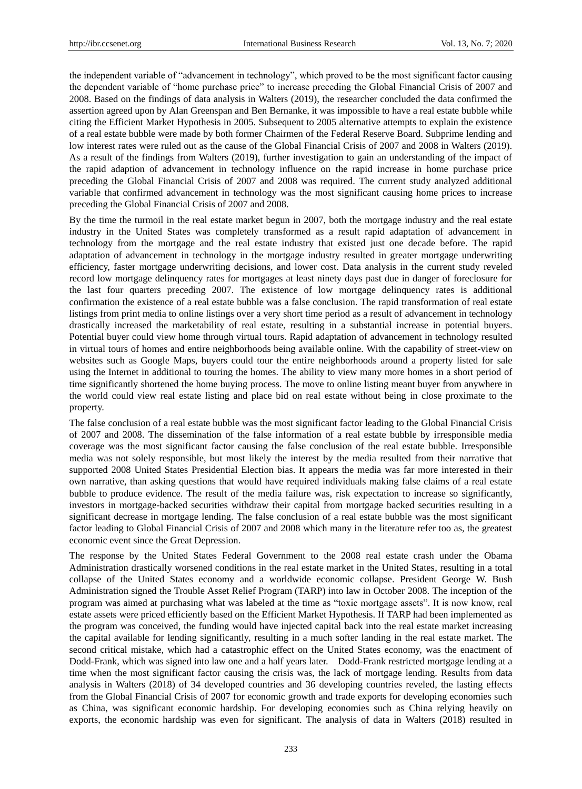the independent variable of "advancement in technology", which proved to be the most significant factor causing the dependent variable of "home purchase price" to increase preceding the Global Financial Crisis of 2007 and 2008. Based on the findings of data analysis in Walters (2019), the researcher concluded the data confirmed the assertion agreed upon by Alan Greenspan and Ben Bernanke, it was impossible to have a real estate bubble while citing the Efficient Market Hypothesis in 2005. Subsequent to 2005 alternative attempts to explain the existence of a real estate bubble were made by both former Chairmen of the Federal Reserve Board. Subprime lending and low interest rates were ruled out as the cause of the Global Financial Crisis of 2007 and 2008 in Walters (2019). As a result of the findings from Walters (2019), further investigation to gain an understanding of the impact of the rapid adaption of advancement in technology influence on the rapid increase in home purchase price preceding the Global Financial Crisis of 2007 and 2008 was required. The current study analyzed additional variable that confirmed advancement in technology was the most significant causing home prices to increase preceding the Global Financial Crisis of 2007 and 2008.

By the time the turmoil in the real estate market begun in 2007, both the mortgage industry and the real estate industry in the United States was completely transformed as a result rapid adaptation of advancement in technology from the mortgage and the real estate industry that existed just one decade before. The rapid adaptation of advancement in technology in the mortgage industry resulted in greater mortgage underwriting efficiency, faster mortgage underwriting decisions, and lower cost. Data analysis in the current study reveled record low mortgage delinquency rates for mortgages at least ninety days past due in danger of foreclosure for the last four quarters preceding 2007. The existence of low mortgage delinquency rates is additional confirmation the existence of a real estate bubble was a false conclusion. The rapid transformation of real estate listings from print media to online listings over a very short time period as a result of advancement in technology drastically increased the marketability of real estate, resulting in a substantial increase in potential buyers. Potential buyer could view home through virtual tours. Rapid adaptation of advancement in technology resulted in virtual tours of homes and entire neighborhoods being available online. With the capability of street-view on websites such as Google Maps, buyers could tour the entire neighborhoods around a property listed for sale using the Internet in additional to touring the homes. The ability to view many more homes in a short period of time significantly shortened the home buying process. The move to online listing meant buyer from anywhere in the world could view real estate listing and place bid on real estate without being in close proximate to the property.

The false conclusion of a real estate bubble was the most significant factor leading to the Global Financial Crisis of 2007 and 2008. The dissemination of the false information of a real estate bubble by irresponsible media coverage was the most significant factor causing the false conclusion of the real estate bubble. Irresponsible media was not solely responsible, but most likely the interest by the media resulted from their narrative that supported 2008 United States Presidential Election bias. It appears the media was far more interested in their own narrative, than asking questions that would have required individuals making false claims of a real estate bubble to produce evidence. The result of the media failure was, risk expectation to increase so significantly, investors in mortgage-backed securities withdraw their capital from mortgage backed securities resulting in a significant decrease in mortgage lending. The false conclusion of a real estate bubble was the most significant factor leading to Global Financial Crisis of 2007 and 2008 which many in the literature refer too as, the greatest economic event since the Great Depression.

The response by the United States Federal Government to the 2008 real estate crash under the Obama Administration drastically worsened conditions in the real estate market in the United States, resulting in a total collapse of the United States economy and a worldwide economic collapse. President George W. Bush Administration signed the Trouble Asset Relief Program (TARP) into law in October 2008. The inception of the program was aimed at purchasing what was labeled at the time as "toxic mortgage assets". It is now know, real estate assets were priced efficiently based on the Efficient Market Hypothesis. If TARP had been implemented as the program was conceived, the funding would have injected capital back into the real estate market increasing the capital available for lending significantly, resulting in a much softer landing in the real estate market. The second critical mistake, which had a catastrophic effect on the United States economy, was the enactment of Dodd-Frank, which was signed into law one and a half years later. Dodd-Frank restricted mortgage lending at a time when the most significant factor causing the crisis was, the lack of mortgage lending. Results from data analysis in Walters (2018) of 34 developed countries and 36 developing countries reveled, the lasting effects from the Global Financial Crisis of 2007 for economic growth and trade exports for developing economies such as China, was significant economic hardship. For developing economies such as China relying heavily on exports, the economic hardship was even for significant. The analysis of data in Walters (2018) resulted in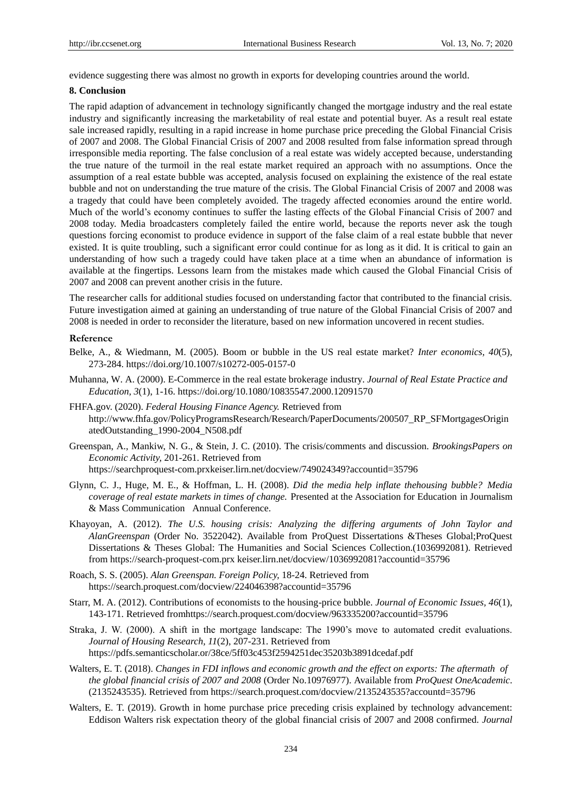evidence suggesting there was almost no growth in exports for developing countries around the world.

#### **8. Conclusion**

The rapid adaption of advancement in technology significantly changed the mortgage industry and the real estate industry and significantly increasing the marketability of real estate and potential buyer. As a result real estate sale increased rapidly, resulting in a rapid increase in home purchase price preceding the Global Financial Crisis of 2007 and 2008. The Global Financial Crisis of 2007 and 2008 resulted from false information spread through irresponsible media reporting. The false conclusion of a real estate was widely accepted because, understanding the true nature of the turmoil in the real estate market required an approach with no assumptions. Once the assumption of a real estate bubble was accepted, analysis focused on explaining the existence of the real estate bubble and not on understanding the true mature of the crisis. The Global Financial Crisis of 2007 and 2008 was a tragedy that could have been completely avoided. The tragedy affected economies around the entire world. Much of the world's economy continues to suffer the lasting effects of the Global Financial Crisis of 2007 and 2008 today. Media broadcasters completely failed the entire world, because the reports never ask the tough questions forcing economist to produce evidence in support of the false claim of a real estate bubble that never existed. It is quite troubling, such a significant error could continue for as long as it did. It is critical to gain an understanding of how such a tragedy could have taken place at a time when an abundance of information is available at the fingertips. Lessons learn from the mistakes made which caused the Global Financial Crisis of 2007 and 2008 can prevent another crisis in the future.

The researcher calls for additional studies focused on understanding factor that contributed to the financial crisis. Future investigation aimed at gaining an understanding of true nature of the Global Financial Crisis of 2007 and 2008 is needed in order to reconsider the literature, based on new information uncovered in recent studies.

#### **Reference**

- Belke, A., & Wiedmann, M. (2005). Boom or bubble in the US real estate market? *Inter economics, 40*(5), 273-284. https://doi.org/10.1007/s10272-005-0157-0
- Muhanna, W. A. (2000). E-Commerce in the real estate brokerage industry. *Journal of Real Estate Practice and Education, 3*(1), 1-16. https://doi.org/10.1080/10835547.2000.12091570
- FHFA.gov. (2020). *Federal Housing Finance Agency.* Retrieved from [http://www.fhfa.gov/PolicyProgramsResearch/Research/PaperDocuments/20050](http://www.fhfa.gov/PolicyProgramsResearch/Research/PaperDocuments/2005)7\_RP\_SFMortgagesOrigin atedOutstanding\_1990-2004\_N508.pdf
- Greenspan, A., Mankiw, N. G., & Stein, J. C. (2010). The crisis/comments and discussion. *BrookingsPapers on Economic Activity,* 201-261. Retrieved from

[https://searchp](https://search/)roquest-com.prxkeiser.lirn.net/docview/749024349?accountid=35796

- Glynn, C. J., Huge, M. E., & Hoffman, L. H. (2008). *Did the media help inflate thehousing bubble? Media coverage of real estate markets in times of change.* Presented at the Association for Education in Journalism & Mass Communication Annual Conference.
- Khayoyan, A. (2012). *The U.S. housing crisis: Analyzing the differing arguments of John Taylor and AlanGreenspan* (Order No. 3522042). Available from ProQuest Dissertations &Theses Global;ProQuest Dissertations & Theses Global: The Humanities and Social Sciences Collection.(1036992081). Retrieved from [https://search-proquest-com.prx](https://search-proquest-com.prx/) keiser.lirn.net/docview/1036992081?accountid=35796
- Roach, S. S. (2005). *Alan Greenspan. Foreign Policy,* 18-24. Retrieved from https://search.proquest.com/docview/224046398?accountid=35796
- Starr, M. A. (2012). Contributions of economists to the housing-price bubble. *Journal of Economic Issues, 46*(1), 143-171. Retrieved fromhttps://search.proquest.com/docview/963335200?accountid=35796
- Straka, J. W. (2000). A shift in the mortgage landscape: The 1990's move to automated credit evaluations. *Journal of Housing Research, 11*(2), 207-231. Retrieved from <https://pdfs.semanticscholar.or/38ce/5ff03c453f2594251dec35203b3891dcedaf.pdf>
- Walters, E. T. (2018). *Changes in FDI inflows and economic growth and the effect on exports: The aftermath of the global financial crisis of 2007 and 2008* (Order No.10976977). Available from *ProQuest OneAcademic*. (2135243535). Retrieved from https://search.proquest.com/docview/2135243535?accountd=35796
- Walters, E. T. (2019). Growth in home purchase price preceding crisis explained by technology advancement: Eddison Walters risk expectation theory of the global financial crisis of 2007 and 2008 confirmed. *Journal*